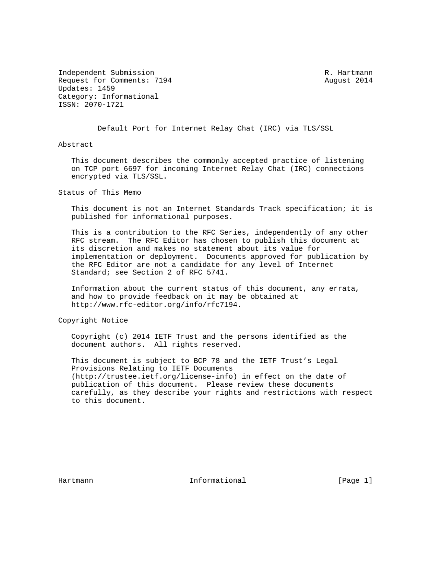Independent Submission **R. Hartmann** Request for Comments: 7194 August 2014 Updates: 1459 Category: Informational ISSN: 2070-1721

Default Port for Internet Relay Chat (IRC) via TLS/SSL

Abstract

 This document describes the commonly accepted practice of listening on TCP port 6697 for incoming Internet Relay Chat (IRC) connections encrypted via TLS/SSL.

Status of This Memo

 This document is not an Internet Standards Track specification; it is published for informational purposes.

 This is a contribution to the RFC Series, independently of any other RFC stream. The RFC Editor has chosen to publish this document at its discretion and makes no statement about its value for implementation or deployment. Documents approved for publication by the RFC Editor are not a candidate for any level of Internet Standard; see Section 2 of RFC 5741.

 Information about the current status of this document, any errata, and how to provide feedback on it may be obtained at http://www.rfc-editor.org/info/rfc7194.

Copyright Notice

 Copyright (c) 2014 IETF Trust and the persons identified as the document authors. All rights reserved.

 This document is subject to BCP 78 and the IETF Trust's Legal Provisions Relating to IETF Documents (http://trustee.ietf.org/license-info) in effect on the date of publication of this document. Please review these documents carefully, as they describe your rights and restrictions with respect to this document.

Hartmann **Informational Informational** [Page 1]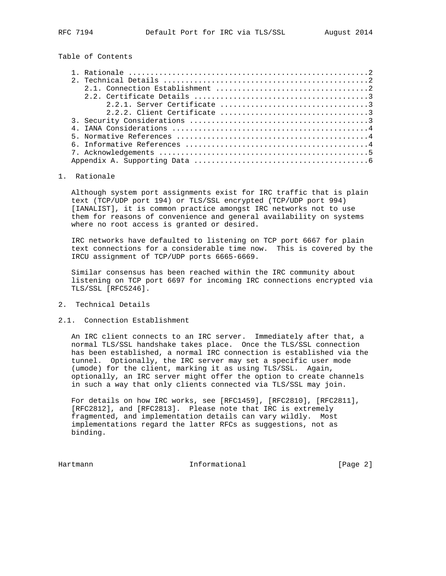Table of Contents

| 2.1. Connection Establishment $\ldots, \ldots, \ldots, \ldots, \ldots, \ldots, \ldots, \ldots, 2$ |
|---------------------------------------------------------------------------------------------------|
|                                                                                                   |
|                                                                                                   |
|                                                                                                   |
|                                                                                                   |
|                                                                                                   |
|                                                                                                   |
|                                                                                                   |
|                                                                                                   |
|                                                                                                   |

# 1. Rationale

 Although system port assignments exist for IRC traffic that is plain text (TCP/UDP port 194) or TLS/SSL encrypted (TCP/UDP port 994) [IANALIST], it is common practice amongst IRC networks not to use them for reasons of convenience and general availability on systems where no root access is granted or desired.

 IRC networks have defaulted to listening on TCP port 6667 for plain text connections for a considerable time now. This is covered by the IRCU assignment of TCP/UDP ports 6665-6669.

 Similar consensus has been reached within the IRC community about listening on TCP port 6697 for incoming IRC connections encrypted via TLS/SSL [RFC5246].

### 2. Technical Details

### 2.1. Connection Establishment

 An IRC client connects to an IRC server. Immediately after that, a normal TLS/SSL handshake takes place. Once the TLS/SSL connection has been established, a normal IRC connection is established via the tunnel. Optionally, the IRC server may set a specific user mode (umode) for the client, marking it as using TLS/SSL. Again, optionally, an IRC server might offer the option to create channels in such a way that only clients connected via TLS/SSL may join.

 For details on how IRC works, see [RFC1459], [RFC2810], [RFC2811], [RFC2812], and [RFC2813]. Please note that IRC is extremely fragmented, and implementation details can vary wildly. Most implementations regard the latter RFCs as suggestions, not as binding.

Hartmann **Informational Informational** [Page 2]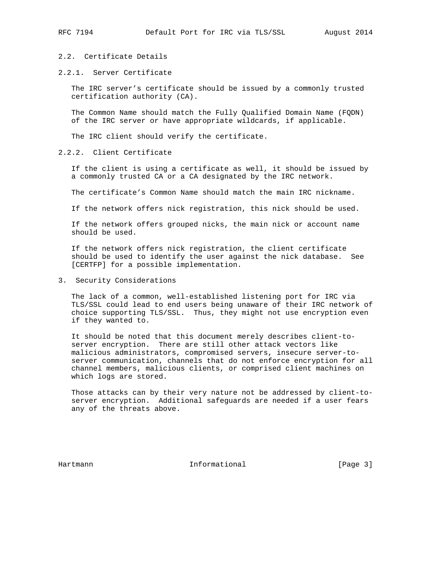## 2.2. Certificate Details

2.2.1. Server Certificate

 The IRC server's certificate should be issued by a commonly trusted certification authority (CA).

 The Common Name should match the Fully Qualified Domain Name (FQDN) of the IRC server or have appropriate wildcards, if applicable.

The IRC client should verify the certificate.

### 2.2.2. Client Certificate

 If the client is using a certificate as well, it should be issued by a commonly trusted CA or a CA designated by the IRC network.

The certificate's Common Name should match the main IRC nickname.

If the network offers nick registration, this nick should be used.

 If the network offers grouped nicks, the main nick or account name should be used.

 If the network offers nick registration, the client certificate should be used to identify the user against the nick database. See [CERTFP] for a possible implementation.

3. Security Considerations

 The lack of a common, well-established listening port for IRC via TLS/SSL could lead to end users being unaware of their IRC network of choice supporting TLS/SSL. Thus, they might not use encryption even if they wanted to.

 It should be noted that this document merely describes client-to server encryption. There are still other attack vectors like malicious administrators, compromised servers, insecure server-to server communication, channels that do not enforce encryption for all channel members, malicious clients, or comprised client machines on which logs are stored.

 Those attacks can by their very nature not be addressed by client-to server encryption. Additional safeguards are needed if a user fears any of the threats above.

Hartmann **Informational Informational** [Page 3]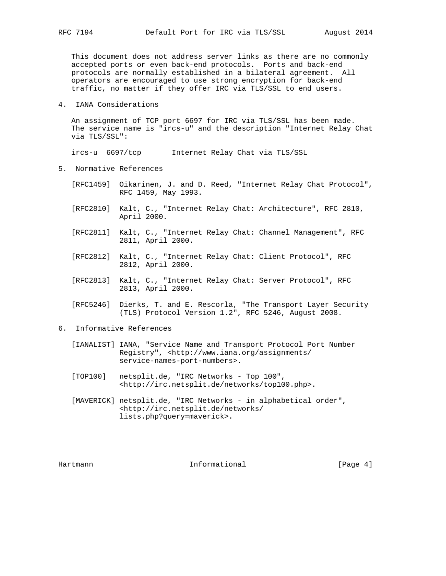This document does not address server links as there are no commonly accepted ports or even back-end protocols. Ports and back-end protocols are normally established in a bilateral agreement. All operators are encouraged to use strong encryption for back-end traffic, no matter if they offer IRC via TLS/SSL to end users.

4. IANA Considerations

 An assignment of TCP port 6697 for IRC via TLS/SSL has been made. The service name is "ircs-u" and the description "Internet Relay Chat via TLS/SSL":

ircs-u 6697/tcp Internet Relay Chat via TLS/SSL

- 5. Normative References
	- [RFC1459] Oikarinen, J. and D. Reed, "Internet Relay Chat Protocol", RFC 1459, May 1993.
	- [RFC2810] Kalt, C., "Internet Relay Chat: Architecture", RFC 2810, April 2000.
	- [RFC2811] Kalt, C., "Internet Relay Chat: Channel Management", RFC 2811, April 2000.
	- [RFC2812] Kalt, C., "Internet Relay Chat: Client Protocol", RFC 2812, April 2000.
	- [RFC2813] Kalt, C., "Internet Relay Chat: Server Protocol", RFC 2813, April 2000.
	- [RFC5246] Dierks, T. and E. Rescorla, "The Transport Layer Security (TLS) Protocol Version 1.2", RFC 5246, August 2008.
- 6. Informative References
	- [IANALIST] IANA, "Service Name and Transport Protocol Port Number Registry", <http://www.iana.org/assignments/ service-names-port-numbers>.
	- [TOP100] netsplit.de, "IRC Networks Top 100", <http://irc.netsplit.de/networks/top100.php>.
	- [MAVERICK] netsplit.de, "IRC Networks in alphabetical order", <http://irc.netsplit.de/networks/ lists.php?query=maverick>.

Hartmann **Informational Informational** [Page 4]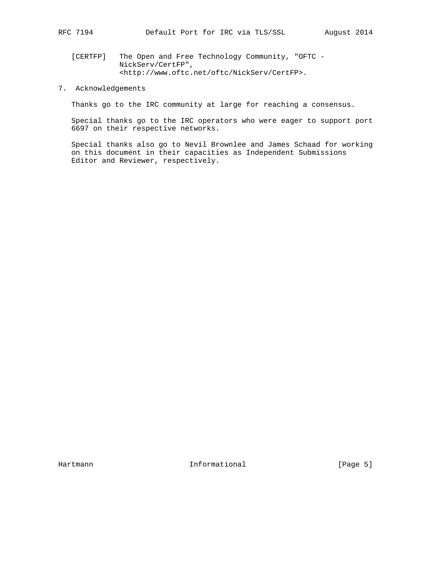[CERTFP] The Open and Free Technology Community, "OFTC - NickServ/CertFP", <http://www.oftc.net/oftc/NickServ/CertFP>.

# 7. Acknowledgements

Thanks go to the IRC community at large for reaching a consensus.

 Special thanks go to the IRC operators who were eager to support port 6697 on their respective networks.

 Special thanks also go to Nevil Brownlee and James Schaad for working on this document in their capacities as Independent Submissions Editor and Reviewer, respectively.

Hartmann Informational [Page 5]